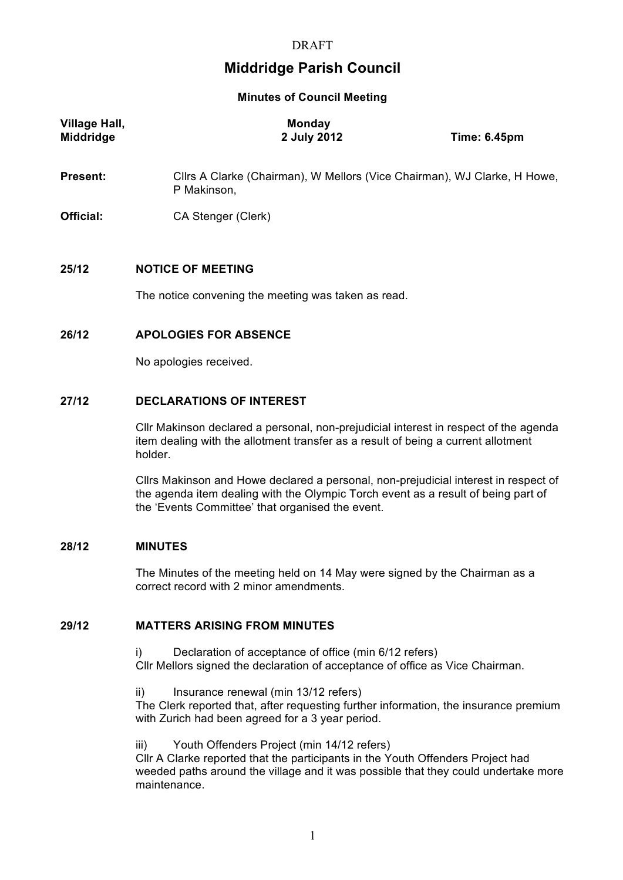# **Middridge Parish Council**

**Minutes of Council Meeting**

| <b>Village Hall,</b><br><b>Middridge</b> | <b>Monday</b><br>2 July 2012                        | <b>Time: 6.45pm</b>                                                      |  |
|------------------------------------------|-----------------------------------------------------|--------------------------------------------------------------------------|--|
| <b>Present:</b>                          | P Makinson,                                         | Cllrs A Clarke (Chairman), W Mellors (Vice Chairman), WJ Clarke, H Howe, |  |
| Official:                                | CA Stenger (Clerk)                                  |                                                                          |  |
| 25/12                                    | <b>NOTICE OF MEETING</b>                            |                                                                          |  |
|                                          | The notice convening the meeting was taken as read. |                                                                          |  |

#### **26/12 APOLOGIES FOR ABSENCE**

No apologies received.

# **27/12 DECLARATIONS OF INTEREST**

Cllr Makinson declared a personal, non-prejudicial interest in respect of the agenda item dealing with the allotment transfer as a result of being a current allotment holder.

Cllrs Makinson and Howe declared a personal, non-prejudicial interest in respect of the agenda item dealing with the Olympic Torch event as a result of being part of the 'Events Committee' that organised the event.

# **28/12 MINUTES**

The Minutes of the meeting held on 14 May were signed by the Chairman as a correct record with 2 minor amendments.

# **29/12 MATTERS ARISING FROM MINUTES**

i) Declaration of acceptance of office (min 6/12 refers) Cllr Mellors signed the declaration of acceptance of office as Vice Chairman.

ii) Insurance renewal (min 13/12 refers)

The Clerk reported that, after requesting further information, the insurance premium with Zurich had been agreed for a 3 year period.

#### iii) Youth Offenders Project (min 14/12 refers)

Cllr A Clarke reported that the participants in the Youth Offenders Project had weeded paths around the village and it was possible that they could undertake more maintenance.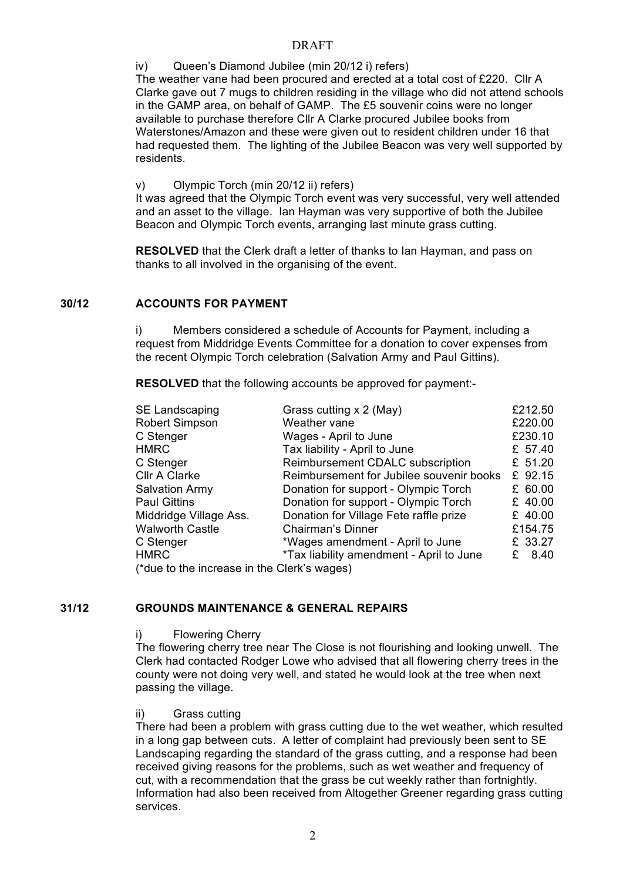# DRAFT

iv) Queen's Diamond Jubilee (min 20/12 i) refers)

The weather vane had been procured and erected at a total cost of £220. Cllr A Clarke gave out 7 mugs to children residing in the village who did not attend schools in the GAMP area, on behalf of GAMP. The £5 souvenir coins were no longer available to purchase therefore Cllr A Clarke procured Jubilee books from Waterstones/Amazon and these were given out to resident children under 16 that had requested them. The lighting of the Jubilee Beacon was very well supported by residents.

v) Olympic Torch (min 20/12 ii) refers)

It was agreed that the Olympic Torch event was very successful, very well attended and an asset to the village. Ian Hayman was very supportive of both the Jubilee Beacon and Olympic Torch events, arranging last minute grass cutting.

**RESOLVED** that the Clerk draft a letter of thanks to Ian Hayman, and pass on thanks to all involved in the organising of the event.

# **30/12 ACCOUNTS FOR PAYMENT**

i) Members considered a schedule of Accounts for Payment, including a request from Middridge Events Committee for a donation to cover expenses from the recent Olympic Torch celebration (Salvation Army and Paul Gittins).

**RESOLVED** that the following accounts be approved for payment:-

| SE Landscaping                              | Grass cutting x 2 (May)                  |  | £212.50   |  |
|---------------------------------------------|------------------------------------------|--|-----------|--|
| <b>Robert Simpson</b>                       | Weather vane                             |  | £220.00   |  |
| C Stenger                                   | Wages - April to June                    |  | £230.10   |  |
| <b>HMRC</b>                                 | Tax liability - April to June            |  | £ 57.40   |  |
| C Stenger                                   | Reimbursement CDALC subscription         |  | £ 51.20   |  |
| Cllr A Clarke                               | Reimbursement for Jubilee souvenir books |  | £ 92.15   |  |
| <b>Salvation Army</b>                       | Donation for support - Olympic Torch     |  | £ 60.00   |  |
| <b>Paul Gittins</b>                         | Donation for support - Olympic Torch     |  | £ $40.00$ |  |
| Middridge Village Ass.                      | Donation for Village Fete raffle prize   |  | £ $40.00$ |  |
| <b>Walworth Castle</b>                      | Chairman's Dinner                        |  | £154.75   |  |
| C Stenger                                   | *Wages amendment - April to June         |  | £ 33.27   |  |
| <b>HMRC</b>                                 | *Tax liability amendment - April to June |  | £ $8.40$  |  |
| (*due to the increase in the Clerk's wages) |                                          |  |           |  |

# **31/12 GROUNDS MAINTENANCE & GENERAL REPAIRS**

i) Flowering Cherry

The flowering cherry tree near The Close is not flourishing and looking unwell. The Clerk had contacted Rodger Lowe who advised that all flowering cherry trees in the county were not doing very well, and stated he would look at the tree when next passing the village.

ii) Grass cutting

There had been a problem with grass cutting due to the wet weather, which resulted in a long gap between cuts. A letter of complaint had previously been sent to SE Landscaping regarding the standard of the grass cutting, and a response had been received giving reasons for the problems, such as wet weather and frequency of cut, with a recommendation that the grass be cut weekly rather than fortnightly. Information had also been received from Altogether Greener regarding grass cutting services.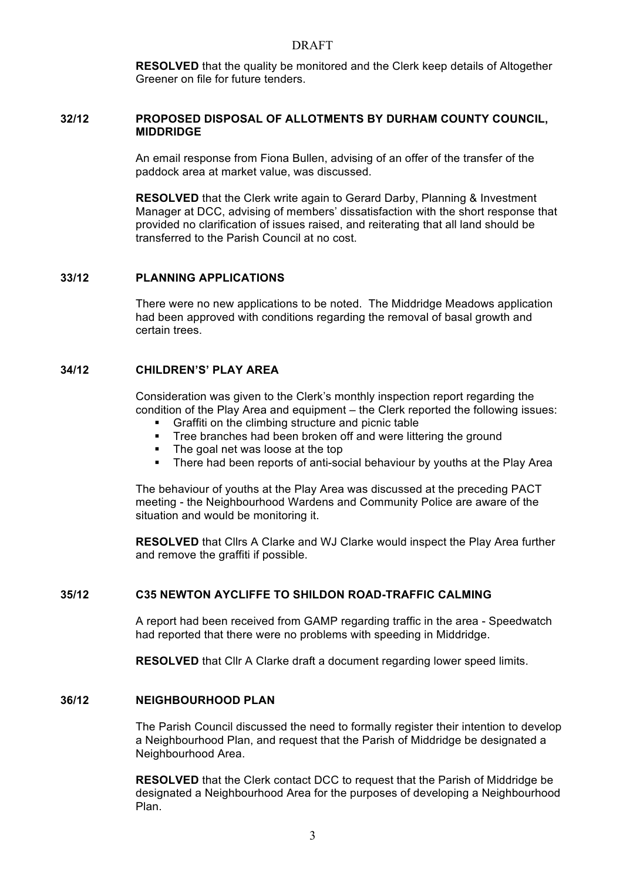#### DRAFT

**RESOLVED** that the quality be monitored and the Clerk keep details of Altogether Greener on file for future tenders.

#### **32/12 PROPOSED DISPOSAL OF ALLOTMENTS BY DURHAM COUNTY COUNCIL, MIDDRIDGE**

An email response from Fiona Bullen, advising of an offer of the transfer of the paddock area at market value, was discussed.

**RESOLVED** that the Clerk write again to Gerard Darby, Planning & Investment Manager at DCC, advising of members' dissatisfaction with the short response that provided no clarification of issues raised, and reiterating that all land should be transferred to the Parish Council at no cost.

#### **33/12 PLANNING APPLICATIONS**

There were no new applications to be noted. The Middridge Meadows application had been approved with conditions regarding the removal of basal growth and certain trees.

#### **34/12 CHILDREN'S' PLAY AREA**

Consideration was given to the Clerk's monthly inspection report regarding the condition of the Play Area and equipment – the Clerk reported the following issues:

- § Graffiti on the climbing structure and picnic table
- Tree branches had been broken off and were littering the ground
- The goal net was loose at the top
- There had been reports of anti-social behaviour by youths at the Play Area

The behaviour of youths at the Play Area was discussed at the preceding PACT meeting - the Neighbourhood Wardens and Community Police are aware of the situation and would be monitoring it.

**RESOLVED** that Cllrs A Clarke and WJ Clarke would inspect the Play Area further and remove the graffiti if possible.

# **35/12 C35 NEWTON AYCLIFFE TO SHILDON ROAD-TRAFFIC CALMING**

A report had been received from GAMP regarding traffic in the area - Speedwatch had reported that there were no problems with speeding in Middridge.

**RESOLVED** that Cllr A Clarke draft a document regarding lower speed limits.

#### **36/12 NEIGHBOURHOOD PLAN**

The Parish Council discussed the need to formally register their intention to develop a Neighbourhood Plan, and request that the Parish of Middridge be designated a Neighbourhood Area.

**RESOLVED** that the Clerk contact DCC to request that the Parish of Middridge be designated a Neighbourhood Area for the purposes of developing a Neighbourhood Plan.